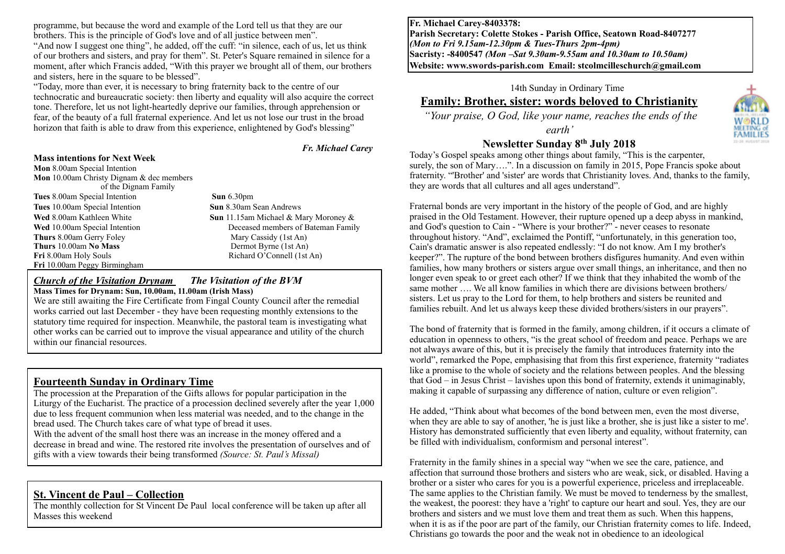programme, but because the word and example of the Lord tell us that they are our brothers. This is the principle of God's love and of all justice between men".

"And now I suggest one thing", he added, off the cuff: "in silence, each of us, let us think of our brothers and sisters, and pray for them". St. Peter's Square remained in silence for a moment, after which Francis added, "With this prayer we brought all of them, our brothers and sisters, here in the square to be blessed".

"Today, more than ever, it is necessary to bring fraternity back to the centre of our technocratic and bureaucratic society: then liberty and equality will also acquire the correct tone. Therefore, let us not light-heartedly deprive our families, through apprehension or fear, of the beauty of a full fraternal experience. And let us not lose our trust in the broad horizon that faith is able to draw from this experience, enlightened by God's blessing"

#### **Mass intentions for Next Week**

**Mon** 8.00am Special Intention **Mon** 10.00am Christy Dignam & dec members of the Dignam Family

**Tues** 8.00am Special Intention **Sun** 6.30pm **Tues** 10.00am Special Intention **Sun** 8.30am Sean Andrews **Wed** 8.00am Kathleen White **Sun** 11.15am Michael & Mary Moroney & **Wed** 10.00am Special Intention Deceased members of Bateman Family **Thurs** 8.00am Gerry Foley Mary Cassidy (1st An) **Thurs** 10.00am **No Mass** Dermot Byrne (1st An) Fri 8.00am Holy Souls Richard O'Connell (1st An) **Fri** 10.00am Peggy Birmingham

 *Fr. Michael Carey*

#### *Church of the Visitation Drynam**The Visitation of the BVM* **Mass Times for Drynam: Sun, 10.00am, 11.00am (Irish Mass)**

We are still awaiting the Fire Certificate from Fingal County Council after the remedial works carried out last December - they have been requesting monthly extensions to the statutory time required for inspection. Meanwhile, the pastoral team is investigating what other works can be carried out to improve the visual appearance and utility of the church within our financial resources.

## **Fourteenth Sunday in Ordinary Time**

The procession at the Preparation of the Gifts allows for popular participation in the Liturgy of the Eucharist. The practice of a procession declined severely after the year 1,000 due to less frequent communion when less material was needed, and to the change in the bread used. The Church takes care of what type of bread it uses.

With the advent of the small host there was an increase in the money offered and a decrease in bread and wine. The restored rite involves the presentation of ourselves and of gifts with a view towards their being transformed *(Source: St. Paul's Missal)*

### **St. Vincent de Paul – Collection**

The monthly collection for St Vincent De Paul local conference will be taken up after all Masses this weekend

**Fr. Michael Carey-8403378: Parish Secretary: Colette Stokes - Parish Office, Seatown Road-8407277**  *(Mon to Fri 9.15am-12.30pm & Tues-Thurs 2pm-4pm)*  **Sacristy: -8400547** *(Mon –Sat 9.30am-9.55am and 10.30am to 10.50am)* **Website: [www.swords-parish.com Email:](http://www.swords-parish.com%20%20email) stcolmcilleschurch@gmail.com**

# 14th Sunday in Ordinary Time

## **Family: Brother, sister: words beloved to Christianity**

 *"Your praise, O God, like your name, reaches the ends of the* 

*earth'* 

## **Newsletter Sunday 8th July 2018**

Today's Gospel speaks among other things about family, "This is the carpenter, surely, the son of Mary….". In a discussion on family in 2015, Pope Francis spoke about fraternity. "'Brother' and 'sister' are words that Christianity loves. And, thanks to the family, they are words that all cultures and all ages understand".

Fraternal bonds are very important in the history of the people of God, and are highly praised in the Old Testament. However, their rupture opened up a deep abyss in mankind, and God's question to Cain - "Where is your brother?" - never ceases to resonate throughout history. "And", exclaimed the Pontiff, "unfortunately, in this generation too, Cain's dramatic answer is also repeated endlessly: "I do not know. Am I my brother's keeper?". The rupture of the bond between brothers disfigures humanity. And even within families, how many brothers or sisters argue over small things, an inheritance, and then no longer even speak to or greet each other? If we think that they inhabited the womb of the same mother .... We all know families in which there are divisions between brothers/ sisters. Let us pray to the Lord for them, to help brothers and sisters be reunited and families rebuilt. And let us always keep these divided brothers/sisters in our prayers".

The bond of fraternity that is formed in the family, among children, if it occurs a climate of education in openness to others, "is the great school of freedom and peace. Perhaps we are not always aware of this, but it is precisely the family that introduces fraternity into the world", remarked the Pope, emphasising that from this first experience, fraternity "radiates like a promise to the whole of society and the relations between peoples. And the blessing that God – in Jesus Christ – lavishes upon this bond of fraternity, extends it unimaginably, making it capable of surpassing any difference of nation, culture or even religion".

He added, "Think about what becomes of the bond between men, even the most diverse, when they are able to say of another, 'he is just like a brother, she is just like a sister to me'. History has demonstrated sufficiently that even liberty and equality, without fraternity, can be filled with individualism, conformism and personal interest".

Fraternity in the family shines in a special way "when we see the care, patience, and affection that surround those brothers and sisters who are weak, sick, or disabled. Having a brother or a sister who cares for you is a powerful experience, priceless and irreplaceable. The same applies to the Christian family. We must be moved to tenderness by the smallest, the weakest, the poorest: they have a 'right' to capture our heart and soul. Yes, they are our brothers and sisters and we must love them and treat them as such. When this happens, when it is as if the poor are part of the family, our Christian fraternity comes to life. Indeed, Christians go towards the poor and the weak not in obedience to an ideological